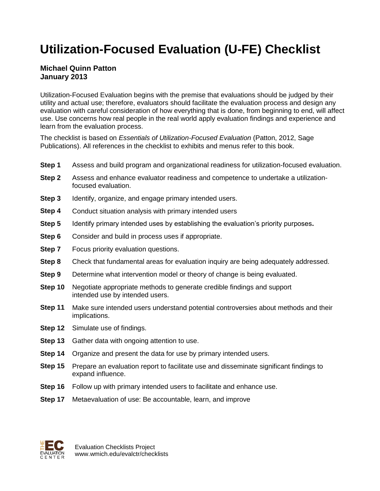# **Utilization-Focused Evaluation (U-FE) Checklist**

### **Michael Quinn Patton January 2013**

Utilization-Focused Evaluation begins with the premise that evaluations should be judged by their utility and actual use; therefore, evaluators should facilitate the evaluation process and design any evaluation with careful consideration of how everything that is done, from beginning to end, will affect use. Use concerns how real people in the real world apply evaluation findings and experience and learn from the evaluation process.

The checklist is based on *Essentials of Utilization-Focused Evaluation* (Patton, 2012, Sage Publications). All references in the checklist to exhibits and menus refer to this book.

- **Step 1** Assess and build program and organizational readiness for utilization-focused evaluation.
- **Step 2** Assess and enhance evaluator readiness and competence to undertake a utilizationfocused evaluation.
- **Step 3** Identify, organize, and engage primary intended users.
- **Step 4** Conduct situation analysis with primary intended users
- **Step 5** Identify primary intended uses by establishing the evaluation's priority purposes**.**
- **Step 6** Consider and build in process uses if appropriate.
- **Step 7** Focus priority evaluation questions.
- **Step 8** Check that fundamental areas for evaluation inquiry are being adequately addressed.
- **Step 9** Determine what intervention model or theory of change is being evaluated.
- **Step 10** Negotiate appropriate methods to generate credible findings and support intended use by intended users.
- **Step 11** Make sure intended users understand potential controversies about methods and their implications.
- **Step 12** Simulate use of findings.
- **Step 13** Gather data with ongoing attention to use.
- **Step 14** Organize and present the data for use by primary intended users.
- **Step 15** Prepare an evaluation report to facilitate use and disseminate significant findings to expand influence.
- **Step 16** Follow up with primary intended users to facilitate and enhance use.
- **Step 17** Metaevaluation of use: Be accountable, learn, and improve

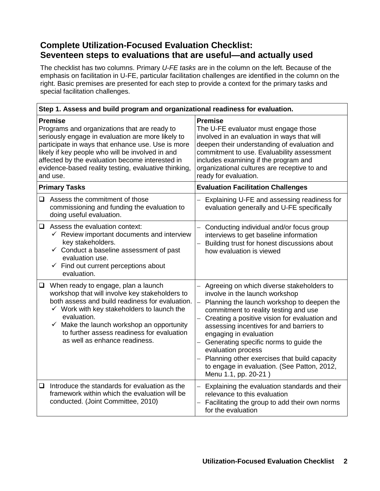## **Complete Utilization-Focused Evaluation Checklist: Seventeen steps to evaluations that are useful—and actually used**

The checklist has two columns. Primary *U-FE tasks* are in the column on the left. Because of the emphasis on facilitation in U-FE, particular facilitation challenges are identified in the column on the right. Basic premises are presented for each step to provide a context for the primary tasks and special facilitation challenges.

| Step 1. Assess and build program and organizational readiness for evaluation.                                                                                                                                                                                                                                                                       |                                                                                                                                                                                                                                                                                                                                                         |                                                                                                                                                                                                                                                                                                                                                                                                                                                                                                              |
|-----------------------------------------------------------------------------------------------------------------------------------------------------------------------------------------------------------------------------------------------------------------------------------------------------------------------------------------------------|---------------------------------------------------------------------------------------------------------------------------------------------------------------------------------------------------------------------------------------------------------------------------------------------------------------------------------------------------------|--------------------------------------------------------------------------------------------------------------------------------------------------------------------------------------------------------------------------------------------------------------------------------------------------------------------------------------------------------------------------------------------------------------------------------------------------------------------------------------------------------------|
| <b>Premise</b><br>Programs and organizations that are ready to<br>seriously engage in evaluation are more likely to<br>participate in ways that enhance use. Use is more<br>likely if key people who will be involved in and<br>affected by the evaluation become interested in<br>evidence-based reality testing, evaluative thinking,<br>and use. |                                                                                                                                                                                                                                                                                                                                                         | <b>Premise</b><br>The U-FE evaluator must engage those<br>involved in an evaluation in ways that will<br>deepen their understanding of evaluation and<br>commitment to use. Evaluability assessment<br>includes examining if the program and<br>organizational cultures are receptive to and<br>ready for evaluation.                                                                                                                                                                                        |
| <b>Primary Tasks</b>                                                                                                                                                                                                                                                                                                                                |                                                                                                                                                                                                                                                                                                                                                         | <b>Evaluation Facilitation Challenges</b>                                                                                                                                                                                                                                                                                                                                                                                                                                                                    |
|                                                                                                                                                                                                                                                                                                                                                     | $\Box$ Assess the commitment of those<br>commissioning and funding the evaluation to<br>doing useful evaluation.                                                                                                                                                                                                                                        | Explaining U-FE and assessing readiness for<br>evaluation generally and U-FE specifically                                                                                                                                                                                                                                                                                                                                                                                                                    |
|                                                                                                                                                                                                                                                                                                                                                     | $\Box$ Assess the evaluation context:<br>$\checkmark$ Review important documents and interview<br>key stakeholders.<br>$\checkmark$ Conduct a baseline assessment of past<br>evaluation use.<br>$\checkmark$ Find out current perceptions about<br>evaluation.                                                                                          | Conducting individual and/or focus group<br>interviews to get baseline information<br>Building trust for honest discussions about<br>how evaluation is viewed                                                                                                                                                                                                                                                                                                                                                |
| $\Box$                                                                                                                                                                                                                                                                                                                                              | When ready to engage, plan a launch<br>workshop that will involve key stakeholders to<br>both assess and build readiness for evaluation.<br>$\checkmark$ Work with key stakeholders to launch the<br>evaluation.<br>$\checkmark$ Make the launch workshop an opportunity<br>to further assess readiness for evaluation<br>as well as enhance readiness. | Agreeing on which diverse stakeholders to<br>involve in the launch workshop<br>Planning the launch workshop to deepen the<br>$\overline{\phantom{0}}$<br>commitment to reality testing and use<br>Creating a positive vision for evaluation and<br>assessing incentives for and barriers to<br>engaging in evaluation<br>Generating specific norms to guide the<br>evaluation process<br>Planning other exercises that build capacity<br>to engage in evaluation. (See Patton, 2012,<br>Menu 1.1, pp. 20-21) |
| ❏                                                                                                                                                                                                                                                                                                                                                   | Introduce the standards for evaluation as the<br>framework within which the evaluation will be<br>conducted. (Joint Committee, 2010)                                                                                                                                                                                                                    | Explaining the evaluation standards and their<br>relevance to this evaluation<br>Facilitating the group to add their own norms<br>for the evaluation                                                                                                                                                                                                                                                                                                                                                         |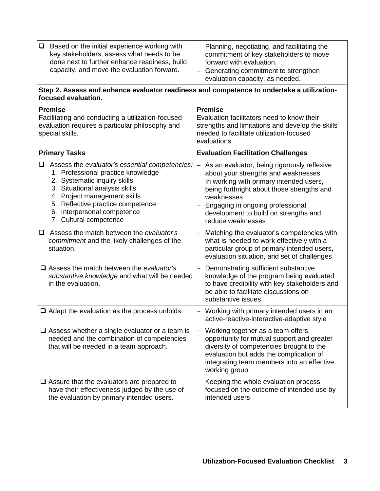| Based on the initial experience working with<br>❏<br>key stakeholders, assess what needs to be<br>done next to further enhance readiness, build<br>capacity, and move the evaluation forward.                                                                                                  | Planning, negotiating, and facilitating the<br>commitment of key stakeholders to move<br>forward with evaluation.<br>Generating commitment to strengthen<br>evaluation capacity, as needed.                                                                                                 |
|------------------------------------------------------------------------------------------------------------------------------------------------------------------------------------------------------------------------------------------------------------------------------------------------|---------------------------------------------------------------------------------------------------------------------------------------------------------------------------------------------------------------------------------------------------------------------------------------------|
| Step 2. Assess and enhance evaluator readiness and competence to undertake a utilization-<br>focused evaluation.                                                                                                                                                                               |                                                                                                                                                                                                                                                                                             |
| <b>Premise</b><br>Facilitating and conducting a utilization-focused<br>evaluation requires a particular philosophy and<br>special skills.                                                                                                                                                      | <b>Premise</b><br>Evaluation facilitators need to know their<br>strengths and limitations and develop the skills<br>needed to facilitate utilization-focused<br>evaluations.                                                                                                                |
| <b>Primary Tasks</b>                                                                                                                                                                                                                                                                           | <b>Evaluation Facilitation Challenges</b>                                                                                                                                                                                                                                                   |
| Assess the evaluator's essential competencies:<br>$\Box$<br>1. Professional practice knowledge<br>2. Systematic inquiry skills<br>3. Situational analysis skills<br>4. Project management skills<br>5. Reflective practice competence<br>6. Interpersonal competence<br>7. Cultural competence | As an evaluator, being rigorously reflexive<br>about your strengths and weaknesses<br>In working with primary intended users,<br>being forthright about those strengths and<br>weaknesses<br>Engaging in ongoing professional<br>development to build on strengths and<br>reduce weaknesses |
| Assess the match between the evaluator's<br>❏<br>commitment and the likely challenges of the<br>situation.                                                                                                                                                                                     | Matching the evaluator's competencies with<br>what is needed to work effectively with a<br>particular group of primary intended users,<br>evaluation situation, and set of challenges                                                                                                       |
| $\Box$ Assess the match between the evaluator's<br>substantive knowledge and what will be needed<br>in the evaluation.                                                                                                                                                                         | Demonstrating sufficient substantive<br>knowledge of the program being evaluated<br>to have credibility with key stakeholders and<br>be able to facilitate discussions on<br>substantive issues,                                                                                            |
| $\Box$ Adapt the evaluation as the process unfolds.                                                                                                                                                                                                                                            | Working with primary intended users in an<br>active-reactive-interactive-adaptive style                                                                                                                                                                                                     |
| $\Box$ Assess whether a single evaluator or a team is<br>needed and the combination of competencies<br>that will be needed in a team approach.                                                                                                                                                 | Working together as a team offers<br>-<br>opportunity for mutual support and greater<br>diversity of competencies brought to the<br>evaluation but adds the complication of<br>integrating team members into an effective<br>working group.                                                 |
| $\Box$ Assure that the evaluators are prepared to<br>have their effectiveness judged by the use of<br>the evaluation by primary intended users.                                                                                                                                                | Keeping the whole evaluation process<br>focused on the outcome of intended use by<br>intended users                                                                                                                                                                                         |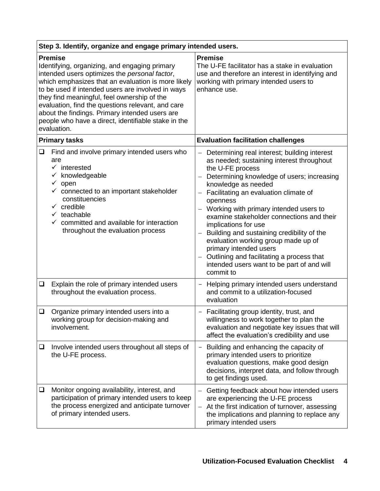|                                                                                                                                                                                                                                                                                                                                                                                                                                                         | Step 3. Identify, organize and engage primary intended users.                                                                                                                                                                                                                                                                                            |                                                                                                                                                                                                                                                                                                                                                                                                                                                                                                                                                                                                                                                     |  |
|---------------------------------------------------------------------------------------------------------------------------------------------------------------------------------------------------------------------------------------------------------------------------------------------------------------------------------------------------------------------------------------------------------------------------------------------------------|----------------------------------------------------------------------------------------------------------------------------------------------------------------------------------------------------------------------------------------------------------------------------------------------------------------------------------------------------------|-----------------------------------------------------------------------------------------------------------------------------------------------------------------------------------------------------------------------------------------------------------------------------------------------------------------------------------------------------------------------------------------------------------------------------------------------------------------------------------------------------------------------------------------------------------------------------------------------------------------------------------------------------|--|
| <b>Premise</b><br>Identifying, organizing, and engaging primary<br>intended users optimizes the personal factor,<br>which emphasizes that an evaluation is more likely<br>to be used if intended users are involved in ways<br>they find meaningful, feel ownership of the<br>evaluation, find the questions relevant, and care<br>about the findings. Primary intended users are<br>people who have a direct, identifiable stake in the<br>evaluation. |                                                                                                                                                                                                                                                                                                                                                          | <b>Premise</b><br>The U-FE facilitator has a stake in evaluation<br>use and therefore an interest in identifying and<br>working with primary intended users to<br>enhance use.                                                                                                                                                                                                                                                                                                                                                                                                                                                                      |  |
|                                                                                                                                                                                                                                                                                                                                                                                                                                                         | <b>Primary tasks</b>                                                                                                                                                                                                                                                                                                                                     | <b>Evaluation facilitation challenges</b>                                                                                                                                                                                                                                                                                                                                                                                                                                                                                                                                                                                                           |  |
| $\Box$                                                                                                                                                                                                                                                                                                                                                                                                                                                  | Find and involve primary intended users who<br>are<br>$\checkmark$ interested<br>$\checkmark$ knowledgeable<br>$\checkmark$ open<br>$\checkmark$ connected to an important stakeholder<br>constituencies<br>$\checkmark$ credible<br>$\checkmark$ teachable<br>$\checkmark$ committed and available for interaction<br>throughout the evaluation process | Determining real interest; building interest<br>$\qquad \qquad -$<br>as needed; sustaining interest throughout<br>the U-FE process<br>Determining knowledge of users; increasing<br>$\overline{\phantom{0}}$<br>knowledge as needed<br>Facilitating an evaluation climate of<br>openness<br>Working with primary intended users to<br>examine stakeholder connections and their<br>implications for use<br>Building and sustaining credibility of the<br>evaluation working group made up of<br>primary intended users<br>Outlining and facilitating a process that<br>$\qquad \qquad -$<br>intended users want to be part of and will<br>commit to |  |
| ❏                                                                                                                                                                                                                                                                                                                                                                                                                                                       | Explain the role of primary intended users<br>throughout the evaluation process.                                                                                                                                                                                                                                                                         | Helping primary intended users understand<br>$\overline{\phantom{a}}$<br>and commit to a utilization-focused<br>evaluation                                                                                                                                                                                                                                                                                                                                                                                                                                                                                                                          |  |
| $\Box$                                                                                                                                                                                                                                                                                                                                                                                                                                                  | Organize primary intended users into a<br>working group for decision-making and<br>involvement.                                                                                                                                                                                                                                                          | Facilitating group identity, trust, and<br>willingness to work together to plan the<br>evaluation and negotiate key issues that will<br>affect the evaluation's credibility and use                                                                                                                                                                                                                                                                                                                                                                                                                                                                 |  |
| ❏                                                                                                                                                                                                                                                                                                                                                                                                                                                       | Involve intended users throughout all steps of<br>the U-FE process.                                                                                                                                                                                                                                                                                      | Building and enhancing the capacity of<br>primary intended users to prioritize<br>evaluation questions, make good design<br>decisions, interpret data, and follow through<br>to get findings used.                                                                                                                                                                                                                                                                                                                                                                                                                                                  |  |
| ❏                                                                                                                                                                                                                                                                                                                                                                                                                                                       | Monitor ongoing availability, interest, and<br>participation of primary intended users to keep<br>the process energized and anticipate turnover<br>of primary intended users.                                                                                                                                                                            | Getting feedback about how intended users<br>are experiencing the U-FE process<br>At the first indication of turnover, assessing<br>$\qquad \qquad -$<br>the implications and planning to replace any<br>primary intended users                                                                                                                                                                                                                                                                                                                                                                                                                     |  |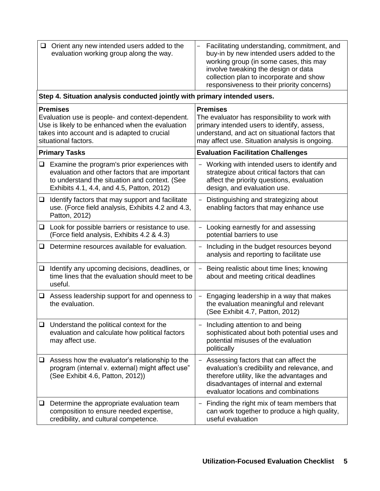| ❏                                                                                                                                                                                               | Orient any new intended users added to the<br>evaluation working group along the way.                                                                                                         | Facilitating understanding, commitment, and<br>buy-in by new intended users added to the<br>working group (in some cases, this may<br>involve tweaking the design or data<br>collection plan to incorporate and show<br>responsiveness to their priority concerns) |
|-------------------------------------------------------------------------------------------------------------------------------------------------------------------------------------------------|-----------------------------------------------------------------------------------------------------------------------------------------------------------------------------------------------|--------------------------------------------------------------------------------------------------------------------------------------------------------------------------------------------------------------------------------------------------------------------|
|                                                                                                                                                                                                 | Step 4. Situation analysis conducted jointly with primary intended users.                                                                                                                     |                                                                                                                                                                                                                                                                    |
| <b>Premises</b><br>Evaluation use is people- and context-dependent.<br>Use is likely to be enhanced when the evaluation<br>takes into account and is adapted to crucial<br>situational factors. |                                                                                                                                                                                               | <b>Premises</b><br>The evaluator has responsibility to work with<br>primary intended users to identify, assess,<br>understand, and act on situational factors that<br>may affect use. Situation analysis is ongoing.                                               |
|                                                                                                                                                                                                 | <b>Primary Tasks</b>                                                                                                                                                                          | <b>Evaluation Facilitation Challenges</b>                                                                                                                                                                                                                          |
| $\Box$                                                                                                                                                                                          | Examine the program's prior experiences with<br>evaluation and other factors that are important<br>to understand the situation and context. (See<br>Exhibits 4.1, 4.4, and 4.5, Patton, 2012) | Working with intended users to identify and<br>$\overline{\phantom{0}}$<br>strategize about critical factors that can<br>affect the priority questions, evaluation<br>design, and evaluation use.                                                                  |
| $\Box$                                                                                                                                                                                          | Identify factors that may support and facilitate<br>use. (Force field analysis, Exhibits 4.2 and 4.3,<br>Patton, 2012)                                                                        | Distinguishing and strategizing about<br>$\qquad \qquad -$<br>enabling factors that may enhance use                                                                                                                                                                |
| ❏                                                                                                                                                                                               | Look for possible barriers or resistance to use.<br>(Force field analysis, Exhibits 4.2 & 4.3)                                                                                                | Looking earnestly for and assessing<br>$\qquad \qquad -$<br>potential barriers to use                                                                                                                                                                              |
| ❏                                                                                                                                                                                               | Determine resources available for evaluation.                                                                                                                                                 | Including in the budget resources beyond<br>analysis and reporting to facilitate use                                                                                                                                                                               |
| $\Box$                                                                                                                                                                                          | Identify any upcoming decisions, deadlines, or<br>time lines that the evaluation should meet to be<br>useful.                                                                                 | Being realistic about time lines; knowing<br>$\overline{\phantom{0}}$<br>about and meeting critical deadlines                                                                                                                                                      |
| ⊔                                                                                                                                                                                               | Assess leadership support for and openness to<br>the evaluation.                                                                                                                              | Engaging leadership in a way that makes<br>the evaluation meaningful and relevant<br>(See Exhibit 4.7, Patton, 2012)                                                                                                                                               |
| ⊔                                                                                                                                                                                               | Understand the political context for the<br>evaluation and calculate how political factors<br>may affect use.                                                                                 | Including attention to and being<br>sophisticated about both potential uses and<br>potential misuses of the evaluation<br>politically                                                                                                                              |
|                                                                                                                                                                                                 | $\Box$ Assess how the evaluator's relationship to the<br>program (internal v. external) might affect use"<br>(See Exhibit 4.6, Patton, 2012))                                                 | Assessing factors that can affect the<br>evaluation's credibility and relevance, and<br>therefore utility, like the advantages and<br>disadvantages of internal and external<br>evaluator locations and combinations                                               |
| ⊔                                                                                                                                                                                               | Determine the appropriate evaluation team<br>composition to ensure needed expertise,<br>credibility, and cultural competence.                                                                 | Finding the right mix of team members that<br>can work together to produce a high quality,<br>useful evaluation                                                                                                                                                    |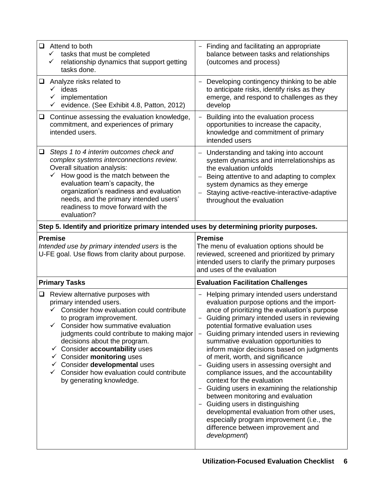| Attend to both<br>$\Box$<br>tasks that must be completed<br>$\checkmark$<br>relationship dynamics that support getting<br>$\checkmark$<br>tasks done.                                                                                                                                                                                          | Finding and facilitating an appropriate<br>balance between tasks and relationships<br>(outcomes and process)                                                                                                                                                                                   |
|------------------------------------------------------------------------------------------------------------------------------------------------------------------------------------------------------------------------------------------------------------------------------------------------------------------------------------------------|------------------------------------------------------------------------------------------------------------------------------------------------------------------------------------------------------------------------------------------------------------------------------------------------|
| Analyze risks related to<br>⊔<br>ideas<br>✓<br>implementation<br>evidence. (See Exhibit 4.8, Patton, 2012)<br>✓                                                                                                                                                                                                                                | Developing contingency thinking to be able<br>$\qquad \qquad -$<br>to anticipate risks, identify risks as they<br>emerge, and respond to challenges as they<br>develop                                                                                                                         |
| Continue assessing the evaluation knowledge,<br>$\Box$<br>commitment, and experiences of primary<br>intended users.                                                                                                                                                                                                                            | Building into the evaluation process<br>opportunities to increase the capacity,<br>knowledge and commitment of primary<br>intended users                                                                                                                                                       |
| Steps 1 to 4 interim outcomes check and<br>□<br>complex systems interconnections review.<br>Overall situation analysis:<br>How good is the match between the<br>✓<br>evaluation team's capacity, the<br>organization's readiness and evaluation<br>needs, and the primary intended users'<br>readiness to move forward with the<br>evaluation? | Understanding and taking into account<br>$\qquad \qquad -$<br>system dynamics and interrelationships as<br>the evaluation unfolds<br>Being attentive to and adapting to complex<br>system dynamics as they emerge<br>Staying active-reactive-interactive-adaptive<br>throughout the evaluation |
| Step 5. Identify and prioritize primary intended uses by determining priority purposes.                                                                                                                                                                                                                                                        |                                                                                                                                                                                                                                                                                                |
| <b>Premise</b><br>Intended use by primary intended users is the<br>U-FE goal. Use flows from clarity about purpose.                                                                                                                                                                                                                            | <b>Premise</b><br>The menu of evaluation options should be<br>reviewed, screened and prioritized by primary<br>intended users to clarify the primary purposes<br>and uses of the evaluation                                                                                                    |
| <b>Primary Tasks</b>                                                                                                                                                                                                                                                                                                                           |                                                                                                                                                                                                                                                                                                |
|                                                                                                                                                                                                                                                                                                                                                | <b>Evaluation Facilitation Challenges</b>                                                                                                                                                                                                                                                      |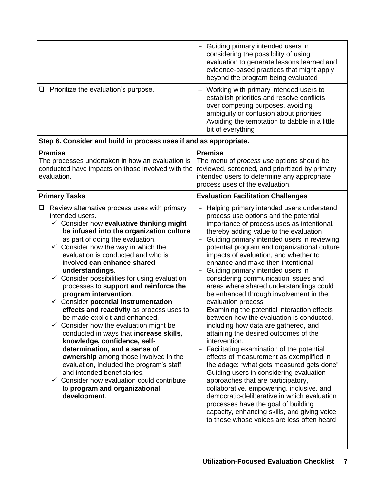|                                                                                                                                                                                                                                                                                                                                                                                                                                                                                                                                                                                                                                                                                                                                                                                                                                                                                                                                                                                                             | Guiding primary intended users in<br>$\overline{\phantom{a}}$<br>considering the possibility of using<br>evaluation to generate lessons learned and<br>evidence-based practices that might apply<br>beyond the program being evaluated                                                                                                                                                                                                                                                                                                                                                                                                                                                                                                                                                                                                                                                                                                                                                                                                                                                                                                                                                                                                      |
|-------------------------------------------------------------------------------------------------------------------------------------------------------------------------------------------------------------------------------------------------------------------------------------------------------------------------------------------------------------------------------------------------------------------------------------------------------------------------------------------------------------------------------------------------------------------------------------------------------------------------------------------------------------------------------------------------------------------------------------------------------------------------------------------------------------------------------------------------------------------------------------------------------------------------------------------------------------------------------------------------------------|---------------------------------------------------------------------------------------------------------------------------------------------------------------------------------------------------------------------------------------------------------------------------------------------------------------------------------------------------------------------------------------------------------------------------------------------------------------------------------------------------------------------------------------------------------------------------------------------------------------------------------------------------------------------------------------------------------------------------------------------------------------------------------------------------------------------------------------------------------------------------------------------------------------------------------------------------------------------------------------------------------------------------------------------------------------------------------------------------------------------------------------------------------------------------------------------------------------------------------------------|
| $\Box$ Prioritize the evaluation's purpose.                                                                                                                                                                                                                                                                                                                                                                                                                                                                                                                                                                                                                                                                                                                                                                                                                                                                                                                                                                 | Working with primary intended users to<br>establish priorities and resolve conflicts<br>over competing purposes, avoiding<br>ambiguity or confusion about priorities<br>Avoiding the temptation to dabble in a little<br>$\qquad \qquad -$<br>bit of everything                                                                                                                                                                                                                                                                                                                                                                                                                                                                                                                                                                                                                                                                                                                                                                                                                                                                                                                                                                             |
| Step 6. Consider and build in process uses if and as appropriate.                                                                                                                                                                                                                                                                                                                                                                                                                                                                                                                                                                                                                                                                                                                                                                                                                                                                                                                                           |                                                                                                                                                                                                                                                                                                                                                                                                                                                                                                                                                                                                                                                                                                                                                                                                                                                                                                                                                                                                                                                                                                                                                                                                                                             |
| <b>Premise</b><br>The processes undertaken in how an evaluation is<br>conducted have impacts on those involved with the<br>evaluation.                                                                                                                                                                                                                                                                                                                                                                                                                                                                                                                                                                                                                                                                                                                                                                                                                                                                      | <b>Premise</b><br>The menu of process use options should be<br>reviewed, screened, and prioritized by primary<br>intended users to determine any appropriate<br>process uses of the evaluation.                                                                                                                                                                                                                                                                                                                                                                                                                                                                                                                                                                                                                                                                                                                                                                                                                                                                                                                                                                                                                                             |
| <b>Primary Tasks</b>                                                                                                                                                                                                                                                                                                                                                                                                                                                                                                                                                                                                                                                                                                                                                                                                                                                                                                                                                                                        | <b>Evaluation Facilitation Challenges</b>                                                                                                                                                                                                                                                                                                                                                                                                                                                                                                                                                                                                                                                                                                                                                                                                                                                                                                                                                                                                                                                                                                                                                                                                   |
| Review alternative process uses with primary<br>⊔<br>intended users.<br>$\checkmark$ Consider how evaluative thinking might<br>be infused into the organization culture<br>as part of doing the evaluation.<br>Consider how the way in which the<br>$\checkmark$<br>evaluation is conducted and who is<br>involved can enhance shared<br>understandings.<br>Consider possibilities for using evaluation<br>processes to support and reinforce the<br>program intervention.<br>$\checkmark$ Consider potential instrumentation<br>effects and reactivity as process uses to<br>be made explicit and enhanced.<br>$\checkmark$ Consider how the evaluation might be<br>conducted in ways that increase skills,<br>knowledge, confidence, self-<br>determination, and a sense of<br>ownership among those involved in the<br>evaluation, included the program's staff<br>and intended beneficiaries.<br>$\checkmark$ Consider how evaluation could contribute<br>to program and organizational<br>development. | Helping primary intended users understand<br>process use options and the potential<br>importance of process uses as intentional,<br>thereby adding value to the evaluation<br>Guiding primary intended users in reviewing<br>potential program and organizational culture<br>impacts of evaluation, and whether to<br>enhance and make then intentional<br>Guiding primary intended users in<br>$\overline{a}$<br>considering communication issues and<br>areas where shared understandings could<br>be enhanced through involvement in the<br>evaluation process<br>Examining the potential interaction effects<br>between how the evaluation is conducted,<br>including how data are gathered, and<br>attaining the desired outcomes of the<br>intervention.<br>Facilitating examination of the potential<br>$\qquad \qquad -$<br>effects of measurement as exemplified in<br>the adage: "what gets measured gets done"<br>Guiding users in considering evaluation<br>approaches that are participatory,<br>collaborative, empowering, inclusive, and<br>democratic-deliberative in which evaluation<br>processes have the goal of building<br>capacity, enhancing skills, and giving voice<br>to those whose voices are less often heard |
|                                                                                                                                                                                                                                                                                                                                                                                                                                                                                                                                                                                                                                                                                                                                                                                                                                                                                                                                                                                                             |                                                                                                                                                                                                                                                                                                                                                                                                                                                                                                                                                                                                                                                                                                                                                                                                                                                                                                                                                                                                                                                                                                                                                                                                                                             |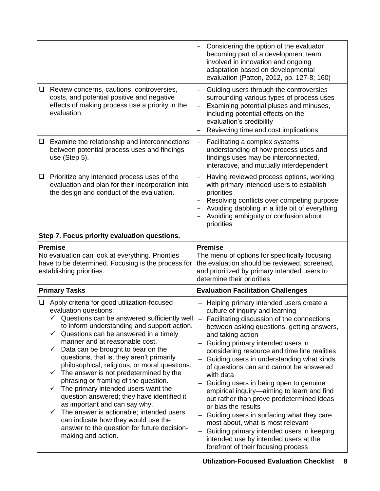|        |                                                                                                                                                                                 | Considering the option of the evaluator<br>becoming part of a development team<br>involved in innovation and ongoing<br>adaptation based on developmental<br>evaluation (Patton, 2012, pp. 127-8; 160)                                                                |
|--------|---------------------------------------------------------------------------------------------------------------------------------------------------------------------------------|-----------------------------------------------------------------------------------------------------------------------------------------------------------------------------------------------------------------------------------------------------------------------|
| Q.     | Review concerns, cautions, controversies,<br>costs, and potential positive and negative<br>effects of making process use a priority in the<br>evaluation.                       | Guiding users through the controversies<br>surrounding various types of process uses<br>Examining potential pluses and minuses,<br>$\overline{\phantom{0}}$<br>including potential effects on the<br>evaluation's credibility<br>Reviewing time and cost implications |
| $\Box$ | Examine the relationship and interconnections<br>between potential process uses and findings<br>use (Step 5).                                                                   | Facilitating a complex systems<br>understanding of how process uses and<br>findings uses may be interconnected,<br>interactive, and mutually interdependent                                                                                                           |
| □      | Prioritize any intended process uses of the<br>evaluation and plan for their incorporation into<br>the design and conduct of the evaluation.                                    | Having reviewed process options, working<br>with primary intended users to establish<br>priorities<br>Resolving conflicts over competing purpose<br>Avoiding dabbling in a little bit of everything<br>Avoiding ambiguity or confusion about<br>priorities            |
|        | Step 7. Focus priority evaluation questions.                                                                                                                                    |                                                                                                                                                                                                                                                                       |
|        | <b>Premise</b><br>No evaluation can look at everything. Priorities<br>have to be determined. Focusing is the process for<br>establishing priorities.                            | <b>Premise</b><br>The menu of options for specifically focusing<br>the evaluation should be reviewed, screened,<br>and prioritized by primary intended users to<br>determine their priorities                                                                         |
|        | <b>Primary Tasks</b>                                                                                                                                                            | <b>Evaluation Facilitation Challenges</b>                                                                                                                                                                                                                             |
| ❏      | Apply criteria for good utilization-focused<br>evaluation questions:<br>$\checkmark$ Questions can be answered sufficiently well<br>to inform understanding and support action. | Helping primary intended users create a<br>culture of inquiry and learning                                                                                                                                                                                            |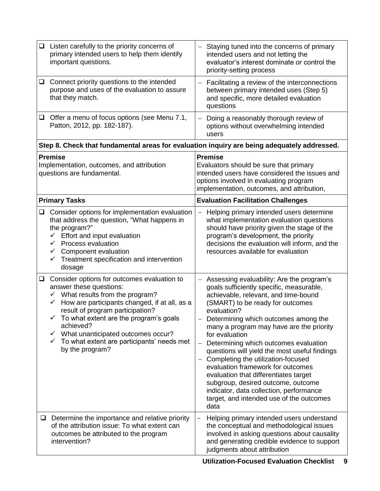|                                                                                           | $\Box$ Listen carefully to the priority concerns of<br>primary intended users to help them identify<br>important questions.                                                                                                                                                                                                                                                                     | Staying tuned into the concerns of primary<br>intended users and not letting the<br>evaluator's interest dominate or control the<br>priority-setting process                                                                                                                                                                                                                                                                                                                                                                                                                                                                              |
|-------------------------------------------------------------------------------------------|-------------------------------------------------------------------------------------------------------------------------------------------------------------------------------------------------------------------------------------------------------------------------------------------------------------------------------------------------------------------------------------------------|-------------------------------------------------------------------------------------------------------------------------------------------------------------------------------------------------------------------------------------------------------------------------------------------------------------------------------------------------------------------------------------------------------------------------------------------------------------------------------------------------------------------------------------------------------------------------------------------------------------------------------------------|
| $\Box$                                                                                    | Connect priority questions to the intended<br>purpose and uses of the evaluation to assure<br>that they match.                                                                                                                                                                                                                                                                                  | Facilitating a review of the interconnections<br>between primary intended uses (Step 5)<br>and specific, more detailed evaluation<br>questions                                                                                                                                                                                                                                                                                                                                                                                                                                                                                            |
| □                                                                                         | Offer a menu of focus options (see Menu 7.1,<br>Patton, 2012, pp. 182-187).                                                                                                                                                                                                                                                                                                                     | Doing a reasonably thorough review of<br>options without overwhelming intended<br>users                                                                                                                                                                                                                                                                                                                                                                                                                                                                                                                                                   |
|                                                                                           | Step 8. Check that fundamental areas for evaluation inquiry are being adequately addressed.                                                                                                                                                                                                                                                                                                     |                                                                                                                                                                                                                                                                                                                                                                                                                                                                                                                                                                                                                                           |
| <b>Premise</b><br>Implementation, outcomes, and attribution<br>questions are fundamental. |                                                                                                                                                                                                                                                                                                                                                                                                 | <b>Premise</b><br>Evaluators should be sure that primary<br>intended users have considered the issues and<br>options involved in evaluating program<br>implementation, outcomes, and attribution,                                                                                                                                                                                                                                                                                                                                                                                                                                         |
|                                                                                           | <b>Primary Tasks</b>                                                                                                                                                                                                                                                                                                                                                                            | <b>Evaluation Facilitation Challenges</b>                                                                                                                                                                                                                                                                                                                                                                                                                                                                                                                                                                                                 |
| ❏                                                                                         | Consider options for implementation evaluation<br>that address the question, "What happens in<br>the program?"<br>Effort and input evaluation<br>$\checkmark$<br>Process evaluation<br>$\checkmark$<br>Component evaluation<br>✓<br>Treatment specification and intervention<br>dosage                                                                                                          | Helping primary intended users determine<br>$\overline{\phantom{0}}$<br>what implementation evaluation questions<br>should have priority given the stage of the<br>program's development, the priority<br>decisions the evaluation will inform, and the<br>resources available for evaluation                                                                                                                                                                                                                                                                                                                                             |
| $\Box$                                                                                    | Consider options for outcomes evaluation to<br>answer these questions:<br>$\checkmark$ What results from the program?<br>$\checkmark$ How are participants changed, if at all, as a<br>result of program participation?<br>To what extent are the program's goals<br>achieved?<br>What unanticipated outcomes occur?<br>✓<br>To what extent are participants' needs met<br>✓<br>by the program? | Assessing evaluability: Are the program's<br>goals sufficiently specific, measurable,<br>achievable, relevant, and time-bound<br>(SMART) to be ready for outcomes<br>evaluation?<br>Determining which outcomes among the<br>many a program may have are the priority<br>for evaluation<br>Determining which outcomes evaluation<br>questions will yield the most useful findings<br>Completing the utilization-focused<br>evaluation framework for outcomes<br>evaluation that differentiates target<br>subgroup, desired outcome, outcome<br>indicator, data collection, performance<br>target, and intended use of the outcomes<br>data |
| $\Box$                                                                                    | Determine the importance and relative priority<br>of the attribution issue: To what extent can<br>outcomes be attributed to the program<br>intervention?                                                                                                                                                                                                                                        | Helping primary intended users understand<br>the conceptual and methodological issues<br>involved in asking questions about causality<br>and generating credible evidence to support<br>judgments about attribution                                                                                                                                                                                                                                                                                                                                                                                                                       |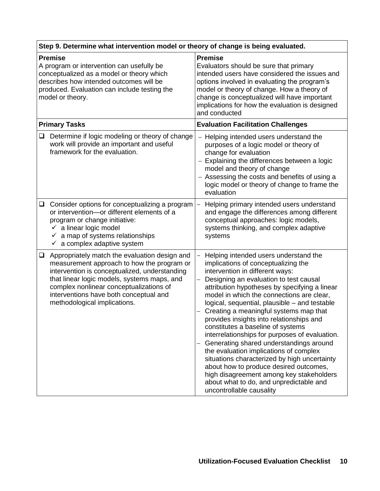| Step 9. Determine what intervention model or theory of change is being evaluated.                                                                                                                                       |                                                                                                                                                                                                                                                                                                                  |                                                                                                                                                                                                                                                                                                                                                                                                                                                                                                                                                                                                                                                                                                                                                                                         |
|-------------------------------------------------------------------------------------------------------------------------------------------------------------------------------------------------------------------------|------------------------------------------------------------------------------------------------------------------------------------------------------------------------------------------------------------------------------------------------------------------------------------------------------------------|-----------------------------------------------------------------------------------------------------------------------------------------------------------------------------------------------------------------------------------------------------------------------------------------------------------------------------------------------------------------------------------------------------------------------------------------------------------------------------------------------------------------------------------------------------------------------------------------------------------------------------------------------------------------------------------------------------------------------------------------------------------------------------------------|
| <b>Premise</b><br>A program or intervention can usefully be<br>conceptualized as a model or theory which<br>describes how intended outcomes will be<br>produced. Evaluation can include testing the<br>model or theory. |                                                                                                                                                                                                                                                                                                                  | <b>Premise</b><br>Evaluators should be sure that primary<br>intended users have considered the issues and<br>options involved in evaluating the program's<br>model or theory of change. How a theory of<br>change is conceptualized will have important<br>implications for how the evaluation is designed<br>and conducted                                                                                                                                                                                                                                                                                                                                                                                                                                                             |
|                                                                                                                                                                                                                         | <b>Primary Tasks</b>                                                                                                                                                                                                                                                                                             | <b>Evaluation Facilitation Challenges</b>                                                                                                                                                                                                                                                                                                                                                                                                                                                                                                                                                                                                                                                                                                                                               |
| ⊔                                                                                                                                                                                                                       | Determine if logic modeling or theory of change<br>work will provide an important and useful<br>framework for the evaluation.                                                                                                                                                                                    | Helping intended users understand the<br>purposes of a logic model or theory of<br>change for evaluation<br>- Explaining the differences between a logic<br>model and theory of change<br>- Assessing the costs and benefits of using a<br>logic model or theory of change to frame the<br>evaluation                                                                                                                                                                                                                                                                                                                                                                                                                                                                                   |
| □                                                                                                                                                                                                                       | Consider options for conceptualizing a program<br>or intervention-or different elements of a<br>program or change initiative:<br>$\checkmark$ a linear logic model<br>$\checkmark$ a map of systems relationships<br>$\checkmark$ a complex adaptive system                                                      | Helping primary intended users understand<br>$\overline{\phantom{0}}$<br>and engage the differences among different<br>conceptual approaches: logic models,<br>systems thinking, and complex adaptive<br>systems                                                                                                                                                                                                                                                                                                                                                                                                                                                                                                                                                                        |
| $\Box$                                                                                                                                                                                                                  | Appropriately match the evaluation design and<br>measurement approach to how the program or<br>intervention is conceptualized, understanding<br>that linear logic models, systems maps, and<br>complex nonlinear conceptualizations of<br>interventions have both conceptual and<br>methodological implications. | Helping intended users understand the<br>implications of conceptualizing the<br>intervention in different ways:<br>Designing an evaluation to test causal<br>attribution hypotheses by specifying a linear<br>model in which the connections are clear,<br>logical, sequential, plausible - and testable<br>Creating a meaningful systems map that<br>provides insights into relationships and<br>constitutes a baseline of systems<br>interrelationships for purposes of evaluation.<br>Generating shared understandings around<br>the evaluation implications of complex<br>situations characterized by high uncertainty<br>about how to produce desired outcomes,<br>high disagreement among key stakeholders<br>about what to do, and unpredictable and<br>uncontrollable causality |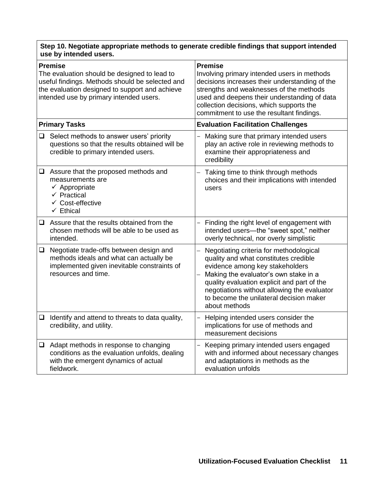#### **Step 10. Negotiate appropriate methods to generate credible findings that support intended use by intended users.**

| <b>Premise</b><br>The evaluation should be designed to lead to<br>useful findings. Methods should be selected and<br>the evaluation designed to support and achieve<br>intended use by primary intended users. |                                                                                                                                                                   | <b>Premise</b><br>Involving primary intended users in methods<br>decisions increases their understanding of the<br>strengths and weaknesses of the methods<br>used and deepens their understanding of data<br>collection decisions, which supports the<br>commitment to use the resultant findings.                    |
|----------------------------------------------------------------------------------------------------------------------------------------------------------------------------------------------------------------|-------------------------------------------------------------------------------------------------------------------------------------------------------------------|------------------------------------------------------------------------------------------------------------------------------------------------------------------------------------------------------------------------------------------------------------------------------------------------------------------------|
| <b>Primary Tasks</b>                                                                                                                                                                                           |                                                                                                                                                                   | <b>Evaluation Facilitation Challenges</b>                                                                                                                                                                                                                                                                              |
| $\Box$                                                                                                                                                                                                         | Select methods to answer users' priority<br>questions so that the results obtained will be<br>credible to primary intended users.                                 | Making sure that primary intended users<br>play an active role in reviewing methods to<br>examine their appropriateness and<br>credibility                                                                                                                                                                             |
|                                                                                                                                                                                                                | $\Box$ Assure that the proposed methods and<br>measurements are<br>$\checkmark$ Appropriate<br>$\checkmark$ Practical<br>← Cost-effective<br>$\checkmark$ Ethical | Taking time to think through methods<br>choices and their implications with intended<br>users                                                                                                                                                                                                                          |
|                                                                                                                                                                                                                | $\Box$ Assure that the results obtained from the<br>chosen methods will be able to be used as<br>intended.                                                        | Finding the right level of engagement with<br>intended users-the "sweet spot," neither<br>overly technical, nor overly simplistic                                                                                                                                                                                      |
| $\Box$                                                                                                                                                                                                         | Negotiate trade-offs between design and<br>methods ideals and what can actually be<br>implemented given inevitable constraints of<br>resources and time.          | Negotiating criteria for methodological<br>quality and what constitutes credible<br>evidence among key stakeholders<br>Making the evaluator's own stake in a<br>quality evaluation explicit and part of the<br>negotiations without allowing the evaluator<br>to become the unilateral decision maker<br>about methods |
| $\Box$                                                                                                                                                                                                         | Identify and attend to threats to data quality,<br>credibility, and utility.                                                                                      | Helping intended users consider the<br>implications for use of methods and<br>measurement decisions                                                                                                                                                                                                                    |
|                                                                                                                                                                                                                | $\Box$ Adapt methods in response to changing<br>conditions as the evaluation unfolds, dealing<br>with the emergent dynamics of actual<br>fieldwork.               | Keeping primary intended users engaged<br>with and informed about necessary changes<br>and adaptations in methods as the<br>evaluation unfolds                                                                                                                                                                         |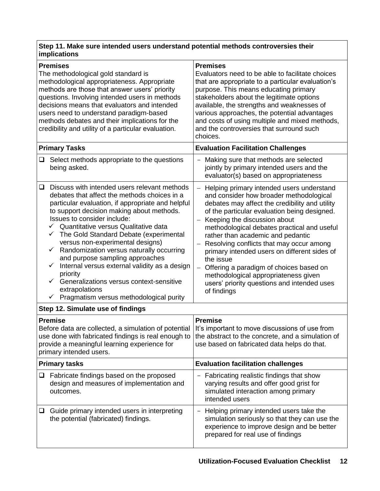#### **Step 11. Make sure intended users understand potential methods controversies their implications**

| <b>Premises</b><br>The methodological gold standard is<br>methodological appropriateness. Appropriate<br>methods are those that answer users' priority<br>questions. Involving intended users in methods<br>decisions means that evaluators and intended<br>users need to understand paradigm-based<br>methods debates and their implications for the<br>credibility and utility of a particular evaluation.                                                                                                                                                                                                                                                      | <b>Premises</b><br>Evaluators need to be able to facilitate choices<br>that are appropriate to a particular evaluation's<br>purpose. This means educating primary<br>stakeholders about the legitimate options<br>available, the strengths and weaknesses of<br>various approaches, the potential advantages<br>and costs of using multiple and mixed methods,<br>and the controversies that surround such<br>choices.                                                                                                                                                                           |
|-------------------------------------------------------------------------------------------------------------------------------------------------------------------------------------------------------------------------------------------------------------------------------------------------------------------------------------------------------------------------------------------------------------------------------------------------------------------------------------------------------------------------------------------------------------------------------------------------------------------------------------------------------------------|--------------------------------------------------------------------------------------------------------------------------------------------------------------------------------------------------------------------------------------------------------------------------------------------------------------------------------------------------------------------------------------------------------------------------------------------------------------------------------------------------------------------------------------------------------------------------------------------------|
| <b>Primary Tasks</b>                                                                                                                                                                                                                                                                                                                                                                                                                                                                                                                                                                                                                                              | <b>Evaluation Facilitation Challenges</b>                                                                                                                                                                                                                                                                                                                                                                                                                                                                                                                                                        |
| Select methods appropriate to the questions<br>❏<br>being asked.                                                                                                                                                                                                                                                                                                                                                                                                                                                                                                                                                                                                  | Making sure that methods are selected<br>-<br>jointly by primary intended users and the<br>evaluator(s) based on appropriateness                                                                                                                                                                                                                                                                                                                                                                                                                                                                 |
| Discuss with intended users relevant methods<br>❏<br>debates that affect the methods choices in a<br>particular evaluation, if appropriate and helpful<br>to support decision making about methods.<br>Issues to consider include:<br>Quantitative versus Qualitative data<br>✓<br>The Gold Standard Debate (experimental<br>$\checkmark$<br>versus non-experimental designs)<br>Randomization versus naturally occurring<br>✓<br>and purpose sampling approaches<br>Internal versus external validity as a design<br>✓<br>priority<br>Generalizations versus context-sensitive<br>✓<br>extrapolations<br>Pragmatism versus methodological purity<br>$\checkmark$ | Helping primary intended users understand<br>and consider how broader methodological<br>debates may affect the credibility and utility<br>of the particular evaluation being designed.<br>Keeping the discussion about<br>methodological debates practical and useful<br>rather than academic and pedantic<br>Resolving conflicts that may occur among<br>$\overline{\phantom{0}}$<br>primary intended users on different sides of<br>the issue<br>Offering a paradigm of choices based on<br>methodological appropriateness given<br>users' priority questions and intended uses<br>of findings |
| Step 12. Simulate use of findings                                                                                                                                                                                                                                                                                                                                                                                                                                                                                                                                                                                                                                 |                                                                                                                                                                                                                                                                                                                                                                                                                                                                                                                                                                                                  |
| <b>Premise</b><br>Before data are collected, a simulation of potential   It's important to move discussions of use from<br>use done with fabricated findings is real enough to the abstract to the concrete, and a simulation of<br>provide a meaningful learning experience for<br>primary intended users.                                                                                                                                                                                                                                                                                                                                                       | <b>Premise</b><br>use based on fabricated data helps do that.                                                                                                                                                                                                                                                                                                                                                                                                                                                                                                                                    |
| <b>Primary tasks</b>                                                                                                                                                                                                                                                                                                                                                                                                                                                                                                                                                                                                                                              | <b>Evaluation facilitation challenges</b>                                                                                                                                                                                                                                                                                                                                                                                                                                                                                                                                                        |
| $\Box$ Fabricate findings based on the proposed<br>design and measures of implementation and<br>outcomes.                                                                                                                                                                                                                                                                                                                                                                                                                                                                                                                                                         | Fabricating realistic findings that show<br>varying results and offer good grist for<br>simulated interaction among primary<br>intended users                                                                                                                                                                                                                                                                                                                                                                                                                                                    |
| Guide primary intended users in interpreting<br>⊔<br>the potential (fabricated) findings.                                                                                                                                                                                                                                                                                                                                                                                                                                                                                                                                                                         | Helping primary intended users take the<br>simulation seriously so that they can use the<br>experience to improve design and be better<br>prepared for real use of findings                                                                                                                                                                                                                                                                                                                                                                                                                      |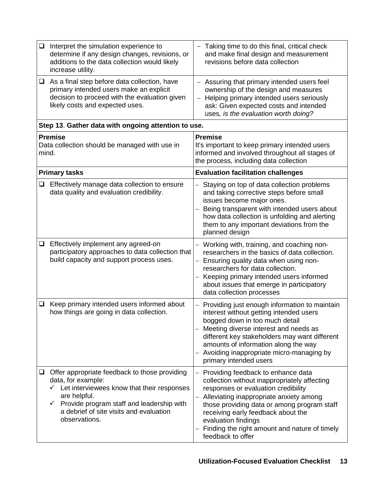| $\Box$                                                                   | Interpret the simulation experience to                                                                                                                                                                                                                       | - Taking time to do this final, critical check                                                                                                                                                                                                                                                                                                                                     |
|--------------------------------------------------------------------------|--------------------------------------------------------------------------------------------------------------------------------------------------------------------------------------------------------------------------------------------------------------|------------------------------------------------------------------------------------------------------------------------------------------------------------------------------------------------------------------------------------------------------------------------------------------------------------------------------------------------------------------------------------|
|                                                                          | determine if any design changes, revisions, or<br>additions to the data collection would likely<br>increase utility.                                                                                                                                         | and make final design and measurement<br>revisions before data collection                                                                                                                                                                                                                                                                                                          |
|                                                                          | $\Box$ As a final step before data collection, have<br>primary intended users make an explicit                                                                                                                                                               | - Assuring that primary intended users feel<br>ownership of the design and measures                                                                                                                                                                                                                                                                                                |
|                                                                          | decision to proceed with the evaluation given<br>likely costs and expected uses.                                                                                                                                                                             | - Helping primary intended users seriously<br>ask: Given expected costs and intended                                                                                                                                                                                                                                                                                               |
|                                                                          |                                                                                                                                                                                                                                                              | uses, is the evaluation worth doing?                                                                                                                                                                                                                                                                                                                                               |
| Step 13. Gather data with ongoing attention to use.                      |                                                                                                                                                                                                                                                              | <b>Premise</b>                                                                                                                                                                                                                                                                                                                                                                     |
| <b>Premise</b><br>Data collection should be managed with use in<br>mind. |                                                                                                                                                                                                                                                              | It's important to keep primary intended users<br>informed and involved throughout all stages of<br>the process, including data collection                                                                                                                                                                                                                                          |
|                                                                          | <b>Primary tasks</b>                                                                                                                                                                                                                                         | <b>Evaluation facilitation challenges</b>                                                                                                                                                                                                                                                                                                                                          |
| ⊔                                                                        | Effectively manage data collection to ensure<br>data quality and evaluation credibility.                                                                                                                                                                     | Staying on top of data collection problems<br>and taking corrective steps before small<br>issues become major ones.<br>Being transparent with intended users about<br>how data collection is unfolding and alerting<br>them to any important deviations from the<br>planned design                                                                                                 |
| $\Box$                                                                   | Effectively implement any agreed-on<br>participatory approaches to data collection that<br>build capacity and support process uses.                                                                                                                          | Working with, training, and coaching non-<br>researchers in the basics of data collection.<br>Ensuring quality data when using non-<br>researchers for data collection.<br>Keeping primary intended users informed<br>about issues that emerge in participatory<br>data collection processes                                                                                       |
| $\Box$                                                                   | Keep primary intended users informed about<br>how things are going in data collection.                                                                                                                                                                       | Providing just enough information to maintain<br>interest without getting intended users<br>bogged down in too much detail<br>Meeting diverse interest and needs as<br>different key stakeholders may want different<br>amounts of information along the way<br>Avoiding inappropriate micro-managing by<br>primary intended users                                                 |
| u.                                                                       | Offer appropriate feedback to those providing<br>data, for example:<br>$\checkmark$ Let interviewees know that their responses<br>are helpful.<br>Provide program staff and leadership with<br>✓<br>a debrief of site visits and evaluation<br>observations. | Providing feedback to enhance data<br>$\overline{\phantom{0}}$<br>collection without inappropriately affecting<br>responses or evaluation credibility<br>Alleviating inappropriate anxiety among<br>those providing data or among program staff<br>receiving early feedback about the<br>evaluation findings<br>Finding the right amount and nature of timely<br>feedback to offer |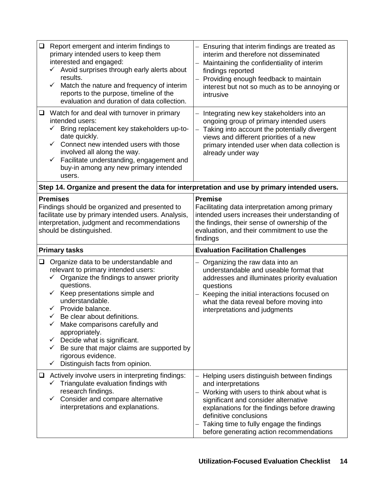| $\Box$                                                                                                                                                                                              | Report emergent and interim findings to<br>primary intended users to keep them<br>interested and engaged:<br>$\checkmark$ Avoid surprises through early alerts about<br>results.<br>Match the nature and frequency of interim<br>$\checkmark$<br>reports to the purpose, timeline of the<br>evaluation and duration of data collection.                                                                                                                                                                      | - Ensuring that interim findings are treated as<br>interim and therefore not disseminated<br>Maintaining the confidentiality of interim<br>findings reported<br>- Providing enough feedback to maintain<br>interest but not so much as to be annoying or<br>intrusive             |
|-----------------------------------------------------------------------------------------------------------------------------------------------------------------------------------------------------|--------------------------------------------------------------------------------------------------------------------------------------------------------------------------------------------------------------------------------------------------------------------------------------------------------------------------------------------------------------------------------------------------------------------------------------------------------------------------------------------------------------|-----------------------------------------------------------------------------------------------------------------------------------------------------------------------------------------------------------------------------------------------------------------------------------|
| ⊔                                                                                                                                                                                                   | Watch for and deal with turnover in primary<br>intended users:<br>Bring replacement key stakeholders up-to-<br>$\checkmark$<br>date quickly.<br>Connect new intended users with those<br>✓<br>involved all along the way.<br>Facilitate understanding, engagement and<br>$\checkmark$<br>buy-in among any new primary intended<br>users.                                                                                                                                                                     | Integrating new key stakeholders into an<br>$\overline{\phantom{0}}$<br>ongoing group of primary intended users<br>Taking into account the potentially divergent<br>views and different priorities of a new<br>primary intended user when data collection is<br>already under way |
|                                                                                                                                                                                                     | Step 14. Organize and present the data for interpretation and use by primary intended users.                                                                                                                                                                                                                                                                                                                                                                                                                 |                                                                                                                                                                                                                                                                                   |
| <b>Premises</b><br>Findings should be organized and presented to<br>facilitate use by primary intended users. Analysis,<br>interpretation, judgment and recommendations<br>should be distinguished. |                                                                                                                                                                                                                                                                                                                                                                                                                                                                                                              | <b>Premise</b><br>Facilitating data interpretation among primary<br>intended users increases their understanding of<br>the findings, their sense of ownership of the<br>evaluation, and their commitment to use the<br>findings                                                   |
|                                                                                                                                                                                                     |                                                                                                                                                                                                                                                                                                                                                                                                                                                                                                              |                                                                                                                                                                                                                                                                                   |
|                                                                                                                                                                                                     | <b>Primary tasks</b>                                                                                                                                                                                                                                                                                                                                                                                                                                                                                         | <b>Evaluation Facilitation Challenges</b>                                                                                                                                                                                                                                         |
| $\Box$                                                                                                                                                                                              | Organize data to be understandable and<br>relevant to primary intended users:<br>Organize the findings to answer priority<br>$\checkmark$<br>questions.<br>Keep presentations simple and<br>$\checkmark$<br>understandable.<br>$\checkmark$ Provide balance.<br>$\checkmark$ Be clear about definitions.<br>Make comparisons carefully and<br>appropriately.<br>Decide what is significant.<br>✓<br>Be sure that major claims are supported by<br>rigorous evidence.<br>Distinguish facts from opinion.<br>✓ | - Organizing the raw data into an<br>understandable and useable format that<br>addresses and illuminates priority evaluation<br>questions<br>Keeping the initial interactions focused on<br>what the data reveal before moving into<br>interpretations and judgments              |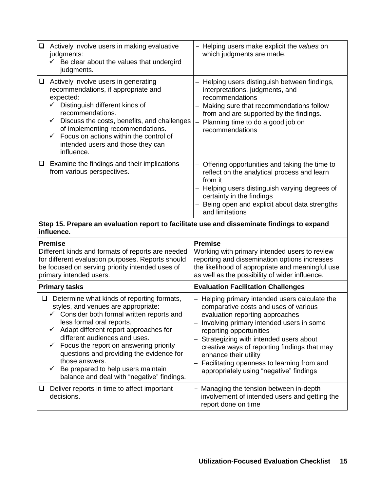| Actively involve users in making evaluative<br>$\Box$<br>judgments:<br>$\checkmark$ Be clear about the values that undergird<br>judgments.                                                                                                                                                                                                                              | - Helping users make explicit the values on<br>which judgments are made.                                                                                                                                                                                                                                                                                                                                    |  |  |  |
|-------------------------------------------------------------------------------------------------------------------------------------------------------------------------------------------------------------------------------------------------------------------------------------------------------------------------------------------------------------------------|-------------------------------------------------------------------------------------------------------------------------------------------------------------------------------------------------------------------------------------------------------------------------------------------------------------------------------------------------------------------------------------------------------------|--|--|--|
| Actively involve users in generating<br>⊔<br>recommendations, if appropriate and<br>expected:<br>$\checkmark$ Distinguish different kinds of<br>recommendations.<br>Discuss the costs, benefits, and challenges<br>$\checkmark$<br>of implementing recommendations.<br>Focus on actions within the control of<br>✓<br>intended users and those they can<br>influence.   | Helping users distinguish between findings,<br>interpretations, judgments, and<br>recommendations<br>Making sure that recommendations follow<br>from and are supported by the findings.<br>Planning time to do a good job on<br>recommendations                                                                                                                                                             |  |  |  |
| Examine the findings and their implications<br>□<br>from various perspectives.                                                                                                                                                                                                                                                                                          | - Offering opportunities and taking the time to<br>reflect on the analytical process and learn<br>from it<br>Helping users distinguish varying degrees of<br>certainty in the findings<br>Being open and explicit about data strengths<br>and limitations                                                                                                                                                   |  |  |  |
| Step 15. Prepare an evaluation report to facilitate use and disseminate findings to expand<br>influence.                                                                                                                                                                                                                                                                |                                                                                                                                                                                                                                                                                                                                                                                                             |  |  |  |
| <b>Premise</b><br>Different kinds and formats of reports are needed<br>for different evaluation purposes. Reports should<br>be focused on serving priority intended uses of<br>primary intended users.                                                                                                                                                                  | <b>Premise</b><br>Working with primary intended users to review<br>reporting and dissemination options increases<br>the likelihood of appropriate and meaningful use<br>as well as the possibility of wider influence.                                                                                                                                                                                      |  |  |  |
| <b>Primary tasks</b>                                                                                                                                                                                                                                                                                                                                                    | <b>Evaluation Facilitation Challenges</b>                                                                                                                                                                                                                                                                                                                                                                   |  |  |  |
| Determine what kinds of reporting formats,<br>❏<br>styles, and venues are appropriate:                                                                                                                                                                                                                                                                                  |                                                                                                                                                                                                                                                                                                                                                                                                             |  |  |  |
| $\checkmark$ Consider both formal written reports and<br>less formal oral reports.<br>Adapt different report approaches for<br>✓<br>different audiences and uses.<br>Focus the report on answering priority<br>✓<br>questions and providing the evidence for<br>those answers.<br>Be prepared to help users maintain<br>✓<br>balance and deal with "negative" findings. | Helping primary intended users calculate the<br>comparative costs and uses of various<br>evaluation reporting approaches<br>Involving primary intended users in some<br>reporting opportunities<br>Strategizing with intended users about<br>creative ways of reporting findings that may<br>enhance their utility<br>Facilitating openness to learning from and<br>appropriately using "negative" findings |  |  |  |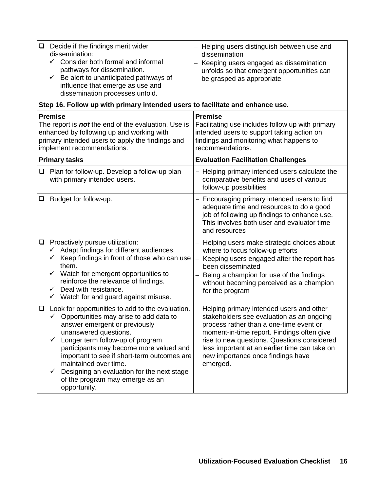| $\Box$                                                                                                                                                                                                      | Decide if the findings merit wider<br>dissemination:<br>$\checkmark$ Consider both formal and informal<br>pathways for dissemination.<br>Be alert to unanticipated pathways of<br>$\checkmark$<br>influence that emerge as use and<br>dissemination processes unfold.                                                                                                                                                          | Helping users distinguish between use and<br>dissemination<br>Keeping users engaged as dissemination<br>unfolds so that emergent opportunities can<br>be grasped as appropriate                                                                                                                                                   |  |  |  |
|-------------------------------------------------------------------------------------------------------------------------------------------------------------------------------------------------------------|--------------------------------------------------------------------------------------------------------------------------------------------------------------------------------------------------------------------------------------------------------------------------------------------------------------------------------------------------------------------------------------------------------------------------------|-----------------------------------------------------------------------------------------------------------------------------------------------------------------------------------------------------------------------------------------------------------------------------------------------------------------------------------|--|--|--|
|                                                                                                                                                                                                             | Step 16. Follow up with primary intended users to facilitate and enhance use.                                                                                                                                                                                                                                                                                                                                                  |                                                                                                                                                                                                                                                                                                                                   |  |  |  |
| <b>Premise</b><br>The report is <i>not</i> the end of the evaluation. Use is<br>enhanced by following up and working with<br>primary intended users to apply the findings and<br>implement recommendations. |                                                                                                                                                                                                                                                                                                                                                                                                                                | <b>Premise</b><br>Facilitating use includes follow up with primary<br>intended users to support taking action on<br>findings and monitoring what happens to<br>recommendations.                                                                                                                                                   |  |  |  |
|                                                                                                                                                                                                             | <b>Primary tasks</b>                                                                                                                                                                                                                                                                                                                                                                                                           | <b>Evaluation Facilitation Challenges</b>                                                                                                                                                                                                                                                                                         |  |  |  |
| ❏                                                                                                                                                                                                           | Plan for follow-up. Develop a follow-up plan<br>with primary intended users.                                                                                                                                                                                                                                                                                                                                                   | - Helping primary intended users calculate the<br>comparative benefits and uses of various<br>follow-up possibilities                                                                                                                                                                                                             |  |  |  |
| ❏                                                                                                                                                                                                           | Budget for follow-up.                                                                                                                                                                                                                                                                                                                                                                                                          | - Encouraging primary intended users to find<br>adequate time and resources to do a good<br>job of following up findings to enhance use.<br>This involves both user and evaluator time<br>and resources                                                                                                                           |  |  |  |
|                                                                                                                                                                                                             | $\Box$ Proactively pursue utilization:<br>Adapt findings for different audiences.<br>✓<br>Keep findings in front of those who can use<br>✓<br>them.<br>Watch for emergent opportunities to<br>✓<br>reinforce the relevance of findings.<br>Deal with resistance.<br>$\checkmark$<br>$\checkmark$ Watch for and guard against misuse.                                                                                           | Helping users make strategic choices about<br>where to focus follow-up efforts<br>Keeping users engaged after the report has<br>been disseminated<br>Being a champion for use of the findings<br>without becoming perceived as a champion<br>for the program                                                                      |  |  |  |
| ⊔                                                                                                                                                                                                           | Look for opportunities to add to the evaluation.<br>$\checkmark$ Opportunities may arise to add data to<br>answer emergent or previously<br>unanswered questions.<br>Longer term follow-up of program<br>✓<br>participants may become more valued and<br>important to see if short-term outcomes are<br>maintained over time.<br>Designing an evaluation for the next stage<br>of the program may emerge as an<br>opportunity. | - Helping primary intended users and other<br>stakeholders see evaluation as an ongoing<br>process rather than a one-time event or<br>moment-in-time report. Findings often give<br>rise to new questions. Questions considered<br>less important at an earlier time can take on<br>new importance once findings have<br>emerged. |  |  |  |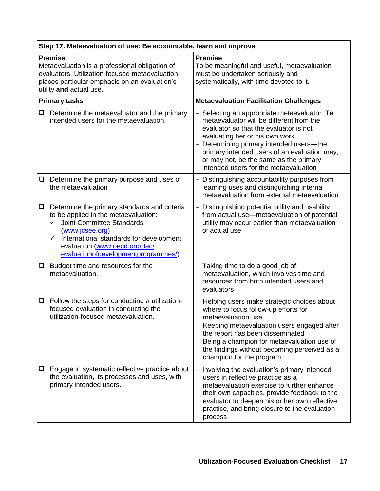| Step 17. Metaevaluation of use: Be accountable, learn and improve                                                                                                                              |                                                                                                                                                                                                                                                                                |                                                                                                                                                                                                                                                                                                                                                                              |  |
|------------------------------------------------------------------------------------------------------------------------------------------------------------------------------------------------|--------------------------------------------------------------------------------------------------------------------------------------------------------------------------------------------------------------------------------------------------------------------------------|------------------------------------------------------------------------------------------------------------------------------------------------------------------------------------------------------------------------------------------------------------------------------------------------------------------------------------------------------------------------------|--|
| <b>Premise</b><br>Metaevaluation is a professional obligation of<br>evaluators. Utilization-focused metaevaluation<br>places particular emphasis on an evaluation's<br>utility and actual use. |                                                                                                                                                                                                                                                                                | <b>Premise</b><br>To be meaningful and useful, metaevaluation<br>must be undertaken seriously and<br>systematically, with time devoted to it.                                                                                                                                                                                                                                |  |
|                                                                                                                                                                                                | <b>Primary tasks</b>                                                                                                                                                                                                                                                           | <b>Metaevaluation Facilitation Challenges</b>                                                                                                                                                                                                                                                                                                                                |  |
| $\Box$                                                                                                                                                                                         | Determine the metaevaluator and the primary<br>intended users for the metaevaluation.                                                                                                                                                                                          | Selecting an appropriate metaevaluator: Te<br>$\overline{\phantom{0}}$<br>metaevaluator will be different from the<br>evaluator so that the evaluator is not<br>evaluating her or his own work.<br>Determining primary intended users-the<br>primary intended users of an evaluation may,<br>or may not, be the same as the primary<br>intended users for the metaevaluation |  |
| □                                                                                                                                                                                              | Determine the primary purpose and uses of<br>the metaevaluation                                                                                                                                                                                                                | Distinguishing accountability purposes from<br>$\overline{\phantom{0}}$<br>learning uses and distinguishing internal<br>metaevaluation from external metaevaluation                                                                                                                                                                                                          |  |
| $\Box$                                                                                                                                                                                         | Determine the primary standards and criteria<br>to be applied in the metaevaluation:<br><b>Joint Committee Standards</b><br>(www.jcsee.org)<br>International standards for development<br>$\checkmark$<br>evaluation (www.oecd.org/dac/<br>evaluationofdevelopmentprogrammes/) | - Distinguishing potential utility and usability<br>from actual use-metaevaluation of potential<br>utility may occur earlier than metaevaluation<br>of actual use                                                                                                                                                                                                            |  |
| $\Box$                                                                                                                                                                                         | Budget time and resources for the<br>metaevaluation.                                                                                                                                                                                                                           | - Taking time to do a good job of<br>metaevaluation, which involves time and<br>resources from both intended users and<br>evaluators                                                                                                                                                                                                                                         |  |
| □                                                                                                                                                                                              | Follow the steps for conducting a utilization-<br>focused evaluation in conducting the<br>utilization-focused metaevaluation                                                                                                                                                   | Helping users make strategic choices about<br>$\overline{\phantom{0}}$<br>where to focus follow-up efforts for<br>metaevaluation use<br>Keeping metaevaluation users engaged after<br>the report has been disseminated<br>Being a champion for metaevaluation use of<br>—<br>the findings without becoming perceived as a<br>champion for the program.                       |  |
| ❏                                                                                                                                                                                              | Engage in systematic reflective practice about<br>the evaluation, its processes and uses, with<br>primary intended users.                                                                                                                                                      | Involving the evaluation's primary intended<br>users in reflective practice as a<br>metaevaluation exercise to further enhance<br>their own capacities, provide feedback to the<br>evaluator to deepen his or her own reflective<br>practice, and bring closure to the evaluation<br>process                                                                                 |  |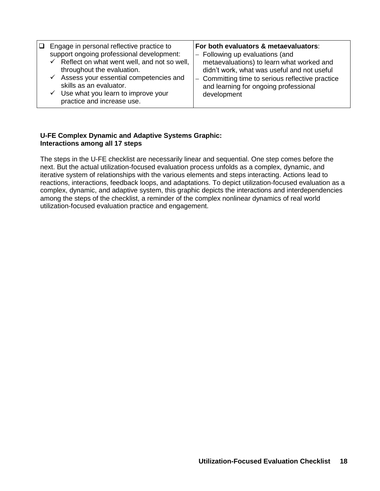| Engage in personal reflective practice to<br>□<br>support ongoing professional development:<br>$\checkmark$ Reflect on what went well, and not so well,<br>throughout the evaluation.<br>$\checkmark$ Assess your essential competencies and<br>skills as an evaluator.<br>$\checkmark$ Use what you learn to improve your<br>practice and increase use. | For both evaluators & metaevaluators:<br>- Following up evaluations (and<br>metaevaluations) to learn what worked and<br>didn't work, what was useful and not useful<br>- Committing time to serious reflective practice<br>and learning for ongoing professional<br>development |
|----------------------------------------------------------------------------------------------------------------------------------------------------------------------------------------------------------------------------------------------------------------------------------------------------------------------------------------------------------|----------------------------------------------------------------------------------------------------------------------------------------------------------------------------------------------------------------------------------------------------------------------------------|
|----------------------------------------------------------------------------------------------------------------------------------------------------------------------------------------------------------------------------------------------------------------------------------------------------------------------------------------------------------|----------------------------------------------------------------------------------------------------------------------------------------------------------------------------------------------------------------------------------------------------------------------------------|

#### **U-FE Complex Dynamic and Adaptive Systems Graphic: Interactions among all 17 steps**

The steps in the U-FE checklist are necessarily linear and sequential. One step comes before the next. But the actual utilization-focused evaluation process unfolds as a complex, dynamic, and iterative system of relationships with the various elements and steps interacting. Actions lead to reactions, interactions, feedback loops, and adaptations. To depict utilization-focused evaluation as a complex, dynamic, and adaptive system, this graphic depicts the interactions and interdependencies among the steps of the checklist, a reminder of the complex nonlinear dynamics of real world utilization-focused evaluation practice and engagement.